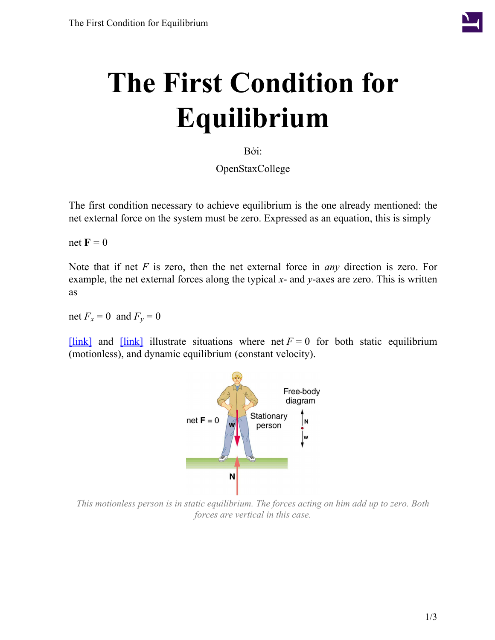

# **The First Condition for Equilibrium**

Bởi:

OpenStaxCollege

The first condition necessary to achieve equilibrium is the one already mentioned: the net external force on the system must be zero. Expressed as an equation, this is simply

net  $\mathbf{F} = 0$ 

Note that if net *F* is zero, then the net external force in *any* direction is zero. For example, the net external forces along the typical *x*- and *y*-axes are zero. This is written as

net  $F_x = 0$  and  $F_y = 0$ 

<span id="page-0-0"></span> $[\text{link}]$  and  $[\text{link}]$  illustrate situations where net  $F = 0$  for both static equilibrium (motionless), and dynamic equilibrium (constant velocity).



*This motionless person is in static equilibrium. The forces acting on him add up to zero. Both forces are vertical in this case.*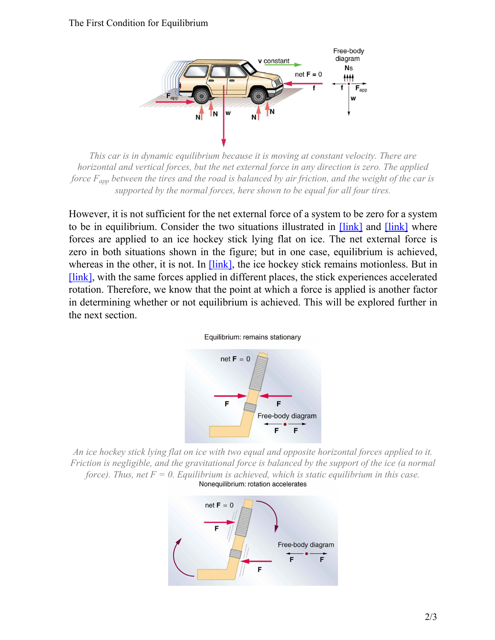#### <span id="page-1-0"></span>The First Condition for Equilibrium



*This car is in dynamic equilibrium because it is moving at constant velocity. There are horizontal and vertical forces, but the net external force in any direction is zero. The applied force*  $F_{\text{ann}}$  *between the tires and the road is balanced by air friction, and the weight of the car is supported by the normal forces, here shown to be equal for all four tires.*

However, it is not sufficient for the net external force of a system to be zero for a system to be in equilibrium. Consider the two situations illustrated in [\[link\]](#page-1-1) and [\[link\]](#page-1-2) where forces are applied to an ice hockey stick lying flat on ice. The net external force is zero in both situations shown in the figure; but in one case, equilibrium is achieved, whereas in the other, it is not. In *[\[link\]](#page-1-1)*, the ice hockey stick remains motionless. But in [\[link\],](#page-1-2) with the same forces applied in different places, the stick experiences accelerated rotation. Therefore, we know that the point at which a force is applied is another factor in determining whether or not equilibrium is achieved. This will be explored further in the next section.





<span id="page-1-2"></span><span id="page-1-1"></span>*An ice hockey stick lying flat on ice with two equal and opposite horizontal forces applied to it. Friction is negligible, and the gravitational force is balanced by the support of the ice (a normal force*). Thus, net  $F = 0$ . Equilibrium is achieved, which is static equilibrium in this case.<br>**Nonequilibrium: rotation accelerates**